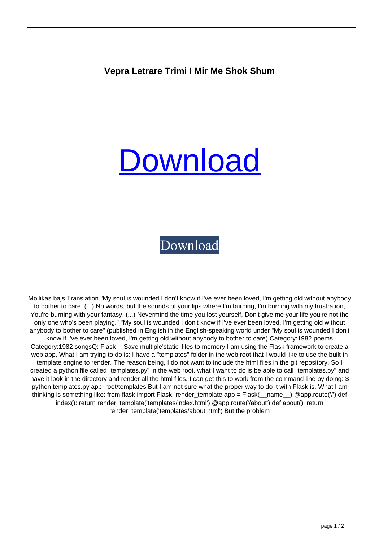## **Vepra Letrare Trimi I Mir Me Shok Shum**

## [Download](https://shoxet.com/2kytjj)

## [Download](https://shoxet.com/2kytjj)

Mollikas bajs Translation "My soul is wounded I don't know if I've ever been loved, I'm getting old without anybody to bother to care. (...) No words, but the sounds of your lips where I'm burning, I'm burning with my frustration, You're burning with your fantasy. (...) Nevermind the time you lost yourself, Don't give me your life you're not the only one who's been playing." "My soul is wounded I don't know if I've ever been loved, I'm getting old without anybody to bother to care" (published in English in the English-speaking world under "My soul is wounded I don't know if I've ever been loved, I'm getting old without anybody to bother to care) Category:1982 poems Category:1982 songsQ: Flask -- Save multiple'static' files to memory I am using the Flask framework to create a web app. What I am trying to do is: I have a "templates" folder in the web root that I would like to use the built-in template engine to render. The reason being, I do not want to include the html files in the git repository. So I created a python file called "templates.py" in the web root. what I want to do is be able to call "templates.py" and have it look in the directory and render all the html files. I can get this to work from the command line by doing: \$ python templates.py app\_root/templates But I am not sure what the proper way to do it with Flask is. What I am thinking is something like: from flask import Flask, render template app = Flask( name ) @app.route('/') def index(): return render template('templates/index.html') @app.route('/about') def about(): return render\_template('templates/about.html') But the problem